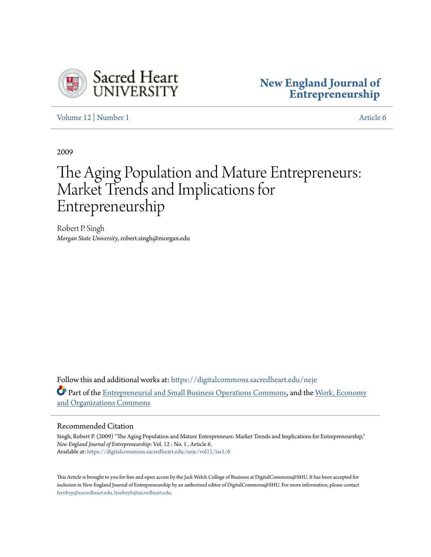

### **[New England Journal of](https://digitalcommons.sacredheart.edu/neje?utm_source=digitalcommons.sacredheart.edu%2Fneje%2Fvol12%2Fiss1%2F6&utm_medium=PDF&utm_campaign=PDFCoverPages) [Entrepreneurship](https://digitalcommons.sacredheart.edu/neje?utm_source=digitalcommons.sacredheart.edu%2Fneje%2Fvol12%2Fiss1%2F6&utm_medium=PDF&utm_campaign=PDFCoverPages)**

[Volume 12](https://digitalcommons.sacredheart.edu/neje/vol12?utm_source=digitalcommons.sacredheart.edu%2Fneje%2Fvol12%2Fiss1%2F6&utm_medium=PDF&utm_campaign=PDFCoverPages) | [Number 1](https://digitalcommons.sacredheart.edu/neje/vol12/iss1?utm_source=digitalcommons.sacredheart.edu%2Fneje%2Fvol12%2Fiss1%2F6&utm_medium=PDF&utm_campaign=PDFCoverPages) [Article 6](https://digitalcommons.sacredheart.edu/neje/vol12/iss1/6?utm_source=digitalcommons.sacredheart.edu%2Fneje%2Fvol12%2Fiss1%2F6&utm_medium=PDF&utm_campaign=PDFCoverPages)

2009

# The Aging Population and Mature Entrepreneurs: Market Trends and Implications for Entrepreneurship

Robert P. Singh *Morgan State University*, robert.singh@morgan.edu

Follow this and additional works at: [https://digitalcommons.sacredheart.edu/neje](https://digitalcommons.sacredheart.edu/neje?utm_source=digitalcommons.sacredheart.edu%2Fneje%2Fvol12%2Fiss1%2F6&utm_medium=PDF&utm_campaign=PDFCoverPages) Part of the [Entrepreneurial and Small Business Operations Commons](http://network.bepress.com/hgg/discipline/630?utm_source=digitalcommons.sacredheart.edu%2Fneje%2Fvol12%2Fiss1%2F6&utm_medium=PDF&utm_campaign=PDFCoverPages), and the [Work, Economy](http://network.bepress.com/hgg/discipline/433?utm_source=digitalcommons.sacredheart.edu%2Fneje%2Fvol12%2Fiss1%2F6&utm_medium=PDF&utm_campaign=PDFCoverPages) [and Organizations Commons](http://network.bepress.com/hgg/discipline/433?utm_source=digitalcommons.sacredheart.edu%2Fneje%2Fvol12%2Fiss1%2F6&utm_medium=PDF&utm_campaign=PDFCoverPages)

#### Recommended Citation

Singh, Robert P. (2009) "The Aging Population and Mature Entrepreneurs: Market Trends and Implications for Entrepreneurship," *New England Journal of Entrepreneurship*: Vol. 12 : No. 1 , Article 6. Available at: [https://digitalcommons.sacredheart.edu/neje/vol12/iss1/6](https://digitalcommons.sacredheart.edu/neje/vol12/iss1/6?utm_source=digitalcommons.sacredheart.edu%2Fneje%2Fvol12%2Fiss1%2F6&utm_medium=PDF&utm_campaign=PDFCoverPages)

This Article is brought to you for free and open access by the Jack Welch College of Business at DigitalCommons@SHU. It has been accepted for inclusion in New England Journal of Entrepreneurship by an authorized editor of DigitalCommons@SHU. For more information, please contact [ferribyp@sacredheart.edu, lysobeyb@sacredheart.edu.](mailto:ferribyp@sacredheart.edu,%20lysobeyb@sacredheart.edu)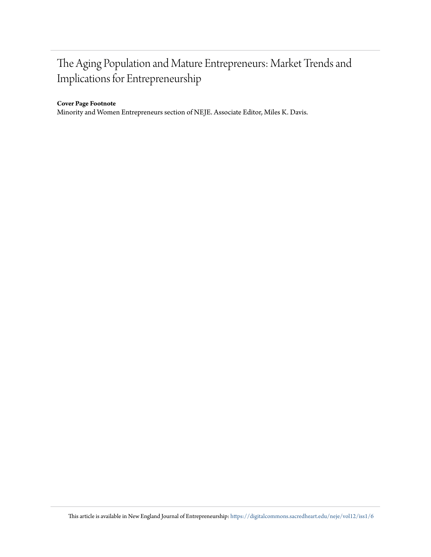# The Aging Population and Mature Entrepreneurs: Market Trends and Implications for Entrepreneurship

#### **Cover Page Footnote**

Minority and Women Entrepreneurs section of NEJE. Associate Editor, Miles K. Davis.

This article is available in New England Journal of Entrepreneurship: [https://digitalcommons.sacredheart.edu/neje/vol12/iss1/6](https://digitalcommons.sacredheart.edu/neje/vol12/iss1/6?utm_source=digitalcommons.sacredheart.edu%2Fneje%2Fvol12%2Fiss1%2F6&utm_medium=PDF&utm_campaign=PDFCoverPages)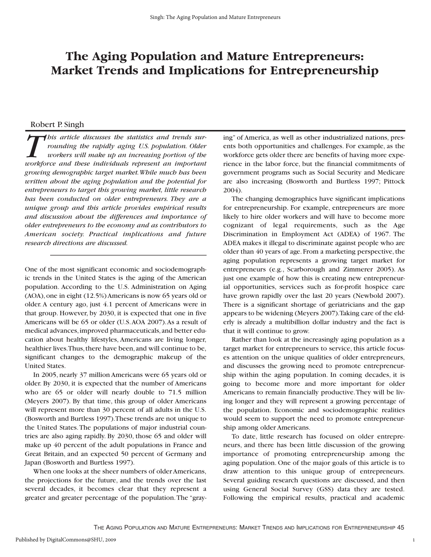## **The Aging Population and Mature Entrepreneurs: Market Trends and Implications for Entrepreneurship**

#### Robert P. Singh

**This article discusses the statistics and trends sur-<br>
rounding the rapidly aging U.S. population. Older<br>
workers will make up an increasing portion of the<br>
workforce and these individuals represent an important** *rounding the rapidly aging U.S. population. Older workers will make up an increasing portion of the workforce and these individuals represent an important growing demographic target market.While much has been written about the aging population and the potential for entrepreneurs to target this growing market, little research has been conducted on older entrepreneurs. They are a unique group and this article provides empirical results and discussion about the differences and importance of older entrepreneurs to the economy and as contributors to American society. Practical implications and future research directions are discussed.*

One of the most significant economic and sociodemographic trends in the United States is the aging of the American population. According to the U.S. Administration on Aging (AOA),one in eight (12.5%) Americans is now 65 years old or older. A century ago, just 4.1 percent of Americans were in that group. However, by 2030, it is expected that one in five Americans will be 65 or older (U.S.AOA 2007).As a result of medical advances,improved pharmaceuticals,and better education about healthy lifestyles, Americans are living longer, healthier lives. Thus, there have been, and will continue to be, significant changes to the demographic makeup of the United States.

In 2005, nearly 37 million Americans were 65 years old or older. By 2030, it is expected that the number of Americans who are 65 or older will nearly double to 71.5 million (Meyers 2007). By that time, this group of older Americans will represent more than 30 percent of all adults in the U.S. (Bosworth and Burtless 1997).These trends are not unique to the United States.The populations of major industrial countries are also aging rapidly. By 2030, those 65 and older will make up 40 percent of the adult populations in France and Great Britain, and an expected 50 percent of Germany and Japan (Bosworth and Burtless 1997).

When one looks at the sheer numbers of older Americans, the projections for the future, and the trends over the last several decades, it becomes clear that they represent a greater and greater percentage of the population.The "graying" of America, as well as other industrialized nations, presents both opportunities and challenges. For example, as the workforce gets older there are benefits of having more experience in the labor force, but the financial commitments of government programs such as Social Security and Medicare are also increasing (Bosworth and Burtless 1997; Pittock 2004).

The changing demographics have significant implications for entrepreneurship. For example, entrepreneurs are more likely to hire older workers and will have to become more cognizant of legal requirements, such as the Age Discrimination in Employment Act (ADEA) of 1967. The ADEA makes it illegal to discriminate against people who are older than 40 years of age. From a marketing perspective, the aging population represents a growing target market for entrepreneurs (e.g., Scarborough and Zimmerer 2005). As just one example of how this is creating new entrepreneurial opportunities, services such as for-profit hospice care have grown rapidly over the last 20 years (Newbold 2007). There is a significant shortage of geriatricians and the gap appears to be widening (Meyers 2007).Taking care of the elderly is already a multibillion dollar industry and the fact is that it will continue to grow.

Rather than look at the increasingly aging population as a target market for entrepreneurs to service, this article focuses attention on the unique qualities of older entrepreneurs, and discusses the growing need to promote entrepreneurship within the aging population. In coming decades, it is going to become more and more important for older Americans to remain financially productive.They will be living longer and they will represent a growing percentage of the population. Economic and sociodemographic realities would seem to support the need to promote entrepreneurship among older Americans.

To date, little research has focused on older entrepreneurs, and there has been little discussion of the growing importance of promoting entrepreneurship among the aging population. One of the major goals of this article is to draw attention to this unique group of entrepreneurs. Several guiding research questions are discussed, and then using General Social Survey (GSS) data they are tested. Following the empirical results, practical and academic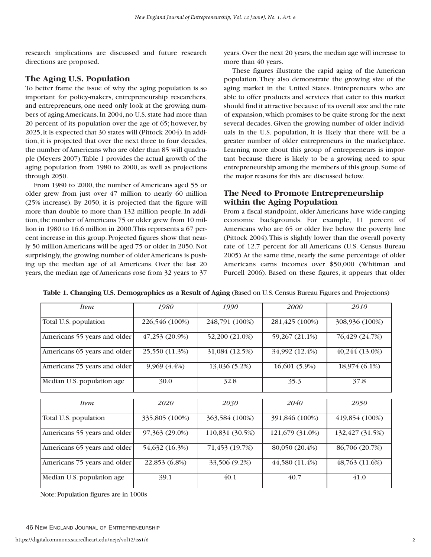research implications are discussed and future research directions are proposed.

#### **The Aging U.S. Population**

To better frame the issue of why the aging population is so important for policy-makers, entrepreneurship researchers, and entrepreneurs, one need only look at the growing numbers of aging Americans. In 2004, no U.S. state had more than 20 percent of its population over the age of 65; however, by 2025, it is expected that 30 states will (Pittock 2004). In addition, it is projected that over the next three to four decades, the number of Americans who are older than 85 will quadruple (Meyers 2007).Table 1 provides the actual growth of the aging population from 1980 to 2000, as well as projections through 2050.

From 1980 to 2000, the number of Americans aged 55 or older grew from just over 47 million to nearly 60 million (25% increase). By 2050, it is projected that the figure will more than double to more than 132 million people. In addition, the number of Americans 75 or older grew from 10 million in 1980 to 16.6 million in 2000.This represents a 67 percent increase in this group. Projected figures show that nearly 50 million Americans will be aged 75 or older in 2050. Not surprisingly, the growing number of older Americans is pushing up the median age of all Americans. Over the last 20 years, the median age of Americans rose from 32 years to 37

years. Over the next 20 years, the median age will increase to more than 40 years.

These figures illustrate the rapid aging of the American population. They also demonstrate the growing size of the aging market in the United States. Entrepreneurs who are able to offer products and services that cater to this market should find it attractive because of its overall size and the rate of expansion, which promises to be quite strong for the next several decades. Given the growing number of older individuals in the U.S. population, it is likely that there will be a greater number of older entrepreneurs in the marketplace. Learning more about this group of entrepreneurs is important because there is likely to be a growing need to spur entrepreneurship among the members of this group.Some of the major reasons for this are discussed below.

#### **The Need to Promote Entrepreneurship within the Aging Population**

From a fiscal standpoint, older Americans have wide-ranging economic backgrounds. For example, 11 percent of Americans who are 65 or older live below the poverty line (Pittock 2004).This is slightly lower than the overall poverty rate of 12.7 percent for all Americans (U.S. Census Bureau 2005).At the same time, nearly the same percentage of older Americans earns incomes over \$50,000 (Whitman and Purcell 2006). Based on these figures, it appears that older

| <i>Item</i>                  | 1980             | 1990            | 2000            | 2010            |
|------------------------------|------------------|-----------------|-----------------|-----------------|
| Total U.S. population        | 226,546 (100%)   | 248,791 (100%)  | 281,425 (100%)  | 308,936 (100%)  |
| Americans 55 years and older | $47,253(20.9\%)$ | 52,200 (21.0%)  | 59,267 (21.1%)  | 76,429 (24.7%)  |
| Americans 65 years and older | 25,550 (11.3%)   | 31,084 (12.5%)  | 34,992 (12.4%)  | 40,244 (13.0%)  |
| Americans 75 years and older | $9,969(4.4\%)$   | 13,036 (5.2%)   | $16,601(5.9\%)$ | 18,974 (6.1%)   |
| Median U.S. population age   | 30.0             | 32.8            | 35.3            | 37.8            |
|                              |                  |                 |                 |                 |
| <i>Item</i>                  | 2020             | 2030            | 2040            | <i>2050</i>     |
| Total U.S. population        | 335,805 (100%)   | 363,584 (100%)  | 391,846 (100%)  | 419,854 (100%)  |
| Americans 55 years and older | 97,363 (29.0%)   | 110,831 (30.5%) | 121,679 (31.0%) | 132,427 (31.5%) |
| Americans 65 years and older | 54,632 (16.3%)   | 71,453 (19.7%)  | 80,050 (20.4%)  | 86,706 (20.7%)  |
| Americans 75 years and older | 22,853 (6.8%)    | 33,506 (9.2%)   | 44,580 (11.4%)  | 48,763 (11.6%)  |
| Median U.S. population age   | 39.1             | 40.1            | 40.7            | 41.0            |

**Table 1. Changing U.S. Demographics as a Result of Aging** (Based on U.S.Census Bureau Figures and Projections)

Note: Population figures are in 1000s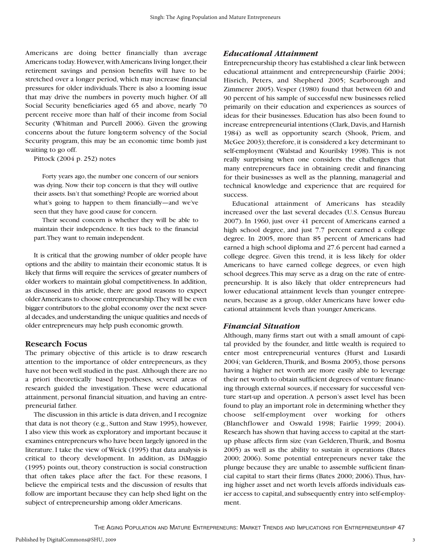Americans are doing better financially than average Americans today. However, with Americans living longer, their retirement savings and pension benefits will have to be stretched over a longer period, which may increase financial pressures for older individuals.There is also a looming issue that may drive the numbers in poverty much higher. Of all Social Security beneficiaries aged 65 and above, nearly 70 percent receive more than half of their income from Social Security (Whitman and Purcell 2006). Given the growing concerns about the future long-term solvency of the Social Security program, this may be an economic time bomb just waiting to go off.

Pittock (2004 p. 252) notes

Forty years ago, the number one concern of our seniors was dying. Now their top concern is that they will outlive their assets. Isn't that something? People are worried about what's going to happen to them financially—and we've seen that they have good cause for concern.

Their second concern is whether they will be able to maintain their independence. It ties back to the financial part.They want to remain independent.

It is critical that the growing number of older people have options and the ability to maintain their economic status. It is likely that firms will require the services of greater numbers of older workers to maintain global competitiveness. In addition, as discussed in this article, there are good reasons to expect older Americans to choose entrepreneurship.They will be even bigger contributors to the global economy over the next several decades,and understanding the unique qualities and needs of older entrepreneurs may help push economic growth.

#### **Research Focus**

The primary objective of this article is to draw research attention to the importance of older entrepreneurs, as they have not been well studied in the past. Although there are no a priori theoretically based hypotheses, several areas of research guided the investigation. These were educational attainment, personal financial situation, and having an entrepreneurial father.

The discussion in this article is data driven, and I recognize that data is not theory (e.g., Sutton and Staw 1995), however, I also view this work as exploratory and important because it examines entrepreneurs who have been largely ignored in the literature. I take the view of Weick (1995) that data analysis is critical to theory development. In addition, as DiMaggio (1995) points out, theory construction is social construction that often takes place after the fact. For these reasons, I believe the empirical tests and the discussion of results that follow are important because they can help shed light on the subject of entrepreneurship among older Americans.

#### *Educational Attainment*

Entrepreneurship theory has established a clear link between educational attainment and entrepreneurship (Fairlie 2004; Hisrich, Peters, and Shepherd 2005; Scarborough and Zimmerer 2005). Vesper (1980) found that between 60 and 90 percent of his sample of successful new businesses relied primarily on their education and experiences as sources of ideas for their businesses. Education has also been found to increase entrepreneurial intentions (Clark,Davis,and Harnish 1984) as well as opportunity search (Shook, Priem, and McGee 2003); therefore, it is considered a key determinant to self-employment (Walstad and Kourilsky 1998). This is not really surprising when one considers the challenges that many entrepreneurs face in obtaining credit and financing for their businesses as well as the planning, managerial and technical knowledge and experience that are required for success.

Educational attainment of Americans has steadily increased over the last several decades (U.S. Census Bureau 2007). In 1960, just over 41 percent of Americans earned a high school degree, and just 7.7 percent earned a college degree. In 2005, more than 85 percent of Americans had earned a high school diploma and 27.6 percent had earned a college degree. Given this trend, it is less likely for older Americans to have earned college degrees, or even high school degrees.This may serve as a drag on the rate of entrepreneurship. It is also likely that older entrepreneurs had lower educational attainment levels than younger entrepreneurs, because as a group, older Americans have lower educational attainment levels than younger Americans.

#### *Financial Situation*

Although, many firms start out with a small amount of capital provided by the founder, and little wealth is required to enter most entrepreneurial ventures (Hurst and Lusardi 2004; van Gelderen,Thurik, and Bosma 2005), those persons having a higher net worth are more easily able to leverage their net worth to obtain sufficient degrees of venture financing through external sources, if necessary for successful venture start-up and operation. A person's asset level has been found to play an important role in determining whether they choose self-employment over working for others (Blanchflower and Oswald 1998; Fairlie 1999; 2004). Research has shown that having access to capital at the startup phase affects firm size (van Gelderen,Thurik, and Bosma 2005) as well as the ability to sustain it operations (Bates 2000; 2006). Some potential entrepreneurs never take the plunge because they are unable to assemble sufficient financial capital to start their firms (Bates 2000; 2006).Thus, having higher asset and net worth levels affords individuals easier access to capital,and subsequently entry into self-employment.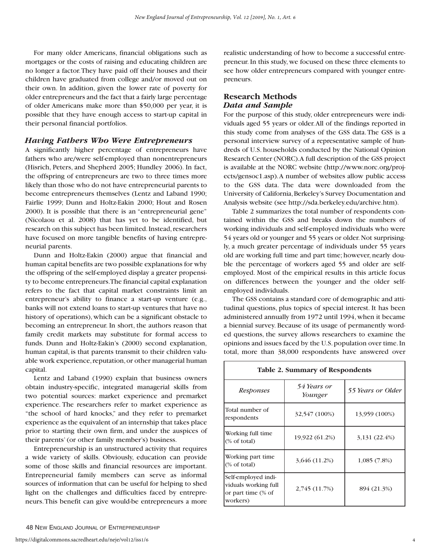For many older Americans, financial obligations such as mortgages or the costs of raising and educating children are no longer a factor.They have paid off their houses and their children have graduated from college and/or moved out on their own. In addition, given the lower rate of poverty for older entrepreneurs and the fact that a fairly large percentage of older Americans make more than \$50,000 per year, it is possible that they have enough access to start-up capital in their personal financial portfolios.

#### *Having Fathers Who Were Entrepreneurs*

A significantly higher percentage of entrepreneurs have fathers who are/were self-employed than nonentrepreneurs (Hisrich, Peters, and Shepherd 2005; Hundley 2006). In fact, the offspring of entrepreneurs are two to three times more likely than those who do not have entrepreneurial parents to become entrepreneurs themselves (Lentz and Laband 1990; Fairlie 1999; Dunn and Holtz-Eakin 2000; Hout and Rosen 2000). It is possible that there is an "entrepreneurial gene" (Nicolaou et al. 2008) that has yet to be identified, but research on this subject has been limited. Instead, researchers have focused on more tangible benefits of having entrepreneurial parents.

Dunn and Holtz-Eakin (2000) argue that financial and human capital benefits are two possible explanations for why the offspring of the self-employed display a greater propensity to become entrepreneurs.The financial capital explanation refers to the fact that capital market constraints limit an entrepreneur's ability to finance a start-up venture (e.g., banks will not extend loans to start-up ventures that have no history of operations), which can be a significant obstacle to becoming an entrepreneur. In short, the authors reason that family credit markets may substitute for formal access to funds. Dunn and Holtz-Eakin's (2000) second explanation, human capital, is that parents transmit to their children valuable work experience, reputation, or other managerial human capital.

Lentz and Laband (1990) explain that business owners obtain industry-specific, integrated managerial skills from two potential sources: market experience and premarket experience. The researchers refer to market experience as "the school of hard knocks," and they refer to premarket experience as the equivalent of an internship that takes place prior to starting their own firm, and under the auspices of their parents' (or other family member's) business.

Entrepreneurship is an unstructured activity that requires a wide variety of skills. Obviously, education can provide some of those skills and financial resources are important. Entrepreneurial family members can serve as informal sources of information that can be useful for helping to shed light on the challenges and difficulties faced by entrepreneurs.This benefit can give would-be entrepreneurs a more

realistic understanding of how to become a successful entrepreneur. In this study, we focused on these three elements to see how older entrepreneurs compared with younger entrepreneurs.

#### **Research Methods** *Data and Sample*

For the purpose of this study, older entrepreneurs were individuals aged 55 years or older.All of the findings reported in this study come from analyses of the GSS data.The GSS is a personal interview survey of a representative sample of hundreds of U.S. households conducted by the National Opinion Research Center (NORC).A full description of the GSS project is available at the NORC website (http://www.norc.org/projects/gensoc1.asp).A number of websites allow public access to the GSS data. The data were downloaded from the University of California, Berkeley's Survey Documentation and Analysis website (see http://sda.berkeley.edu/archive.htm).

Table 2 summarizes the total number of respondents contained within the GSS and breaks down the numbers of working individuals and self-employed individuals who were 54 years old or younger and 55 years or older. Not surprisingly, a much greater percentage of individuals under 55 years old are working full time and part time; however, nearly double the percentage of workers aged 55 and older are selfemployed. Most of the empirical results in this article focus on differences between the younger and the older selfemployed individuals.

The GSS contains a standard core of demographic and attitudinal questions, plus topics of special interest. It has been administered annually from 1972 until 1994, when it became a biennial survey. Because of its usage of permanently worded questions, the survey allows researchers to examine the opinions and issues faced by the U.S.population over time.In total, more than 38,000 respondents have answered over

| <b>Table 2. Summary of Respondents</b>                                        |                        |                   |  |
|-------------------------------------------------------------------------------|------------------------|-------------------|--|
| <i>Responses</i>                                                              | 54 Years or<br>Younger | 55 Years or Older |  |
| Total number of<br>respondents                                                | 32,547 (100%)          | 13,959 (100%)     |  |
| Working full time<br>(% of total)                                             | 19,922 (61.2%)         | 3,131 (22.4%)     |  |
| Working part time<br>(% of total)                                             | 3,646 (11.2%)          | $1,085(7.8\%)$    |  |
| Self-employed indi-<br>viduals working full<br>or part time (% of<br>workers) | 2,745 (11.7%)          | 894 (21.3%)       |  |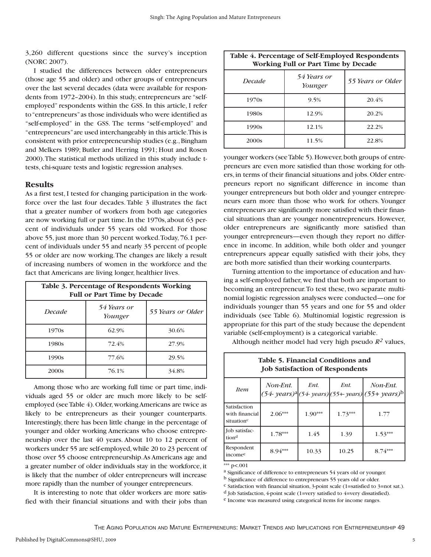3,260 different questions since the survey's inception (NORC 2007).

I studied the differences between older entrepreneurs (those age 55 and older) and other groups of entrepreneurs over the last several decades (data were available for respondents from 1972–2004). In this study, entrepreneurs are "selfemployed" respondents within the GSS. In this article, I refer to "entrepreneurs"as those individuals who were identified as "self-employed" in the GSS. The terms "self-employed" and "entrepreneurs"are used interchangeably in this article.This is consistent with prior entrepreneurship studies (e.g.,Bingham and Melkers 1989; Butler and Herring 1991; Hout and Rosen 2000).The statistical methods utilized in this study include ttests, chi-square tests and logistic regression analyses.

#### **Results**

As a first test, I tested for changing participation in the workforce over the last four decades. Table 3 illustrates the fact that a greater number of workers from both age categories are now working full or part time. In the 1970s, about 63 percent of individuals under 55 years old worked. For those above 55, just more than 30 percent worked.Today, 76.1 percent of individuals under 55 and nearly 35 percent of people 55 or older are now working.The changes are likely a result of increasing numbers of women in the workforce and the fact that Americans are living longer, healthier lives.

| Table 3. Percentage of Respondents Working<br><b>Full or Part Time by Decade</b> |                        |                   |
|----------------------------------------------------------------------------------|------------------------|-------------------|
| Decade                                                                           | 54 Years or<br>Younger | 55 Years or Older |
| 1970s                                                                            | 62.9%                  | 30.6%             |
| 1980s                                                                            | 72.4%                  | 27.9%             |
| 1990s                                                                            | 77.6%                  | 29.5%             |
| 2000s                                                                            | 76.1%                  | 34.8%             |

Among those who are working full time or part time, individuals aged 55 or older are much more likely to be selfemployed (see Table 4). Older, working Americans are twice as likely to be entrepreneurs as their younger counterparts. Interestingly, there has been little change in the percentage of younger and older working Americans who choose entrepreneurship over the last 40 years. About 10 to 12 percent of workers under 55 are self-employed,while 20 to 23 percent of those over 55 choose entrepreneurship.As Americans age and a greater number of older individuals stay in the workforce, it is likely that the number of older entrepreneurs will increase more rapidly than the number of younger entrepreneurs.

It is interesting to note that older workers are more satisfied with their financial situations and with their jobs than

| Table 4. Percentage of Self-Employed Respondents<br>Working Full or Part Time by Decade |                        |                   |
|-----------------------------------------------------------------------------------------|------------------------|-------------------|
| <b>Decade</b>                                                                           | 54 Years or<br>Younger | 55 Years or Older |
| 1970s                                                                                   | 9.5%                   | 20.4%             |
| 1980s                                                                                   | 12.9%                  | 20.2%             |
| 1990s                                                                                   | 12.1%                  | 22.2%             |
| 2000s                                                                                   | 11.5%                  | 22.8%             |

younger workers (see Table 5). However, both groups of entrepreneurs are even more satisfied than those working for others, in terms of their financial situations and jobs. Older entrepreneurs report no significant difference in income than younger entrepreneurs but both older and younger entrepreneurs earn more than those who work for others. Younger entrepreneurs are significantly more satisfied with their financial situations than are younger nonentrepreneurs. However, older entrepreneurs are significantly more satisfied than younger entrepreneurs—even though they report no difference in income. In addition, while both older and younger entrepreneurs appear equally satisfied with their jobs, they are both more satisfied than their working counterparts.

Turning attention to the importance of education and having a self-employed father, we find that both are important to becoming an entrepreneur.To test these, two separate multinomial logistic regression analyses were conducted—one for individuals younger than 55 years and one for 55 and older individuals (see Table 6). Multinomial logistic regression is appropriate for this part of the study because the dependent variable (self-employment) is a categorical variable.

Although neither model had very high pseudo *R2* values,

| Table 5. Financial Conditions and<br><b>Job Satisfaction of Respondents</b> |           |           |           |                                                                                                 |
|-----------------------------------------------------------------------------|-----------|-----------|-----------|-------------------------------------------------------------------------------------------------|
| <i>Item</i>                                                                 | Non-Ent.  | Ent.      | Ent.      | Non-Ent.<br>$(54$ - years) <sup>a</sup> $(54$ - years) $(55+)$ ears) $(55+)$ ears) <sup>b</sup> |
| Satisfaction<br>with financial<br>situation <sup>c</sup>                    | $2.06***$ | $1.90***$ | $1.73***$ | 1.77                                                                                            |
| Job satisfac-<br>tiond                                                      | $1.78***$ | 1.45      | 1.39      | $1.53***$                                                                                       |
| Respondent<br>income <sup>e</sup>                                           | 8.94***   | 10.33     | 10.25     | 8.74***                                                                                         |

\*\*\* p<.001

a Significance of difference to entrepreneurs 54 years old or younger.

b Significance of difference to entrepreneurs 55 years old or older.

c Satisfaction with financial situation, 3-point scale (1=satisfied to 3=not sat.).

d Job Satisfaction, 4-point scale (1=very satisfied to 4=very dissatisfied).

e Income was measured using categorical items for income ranges.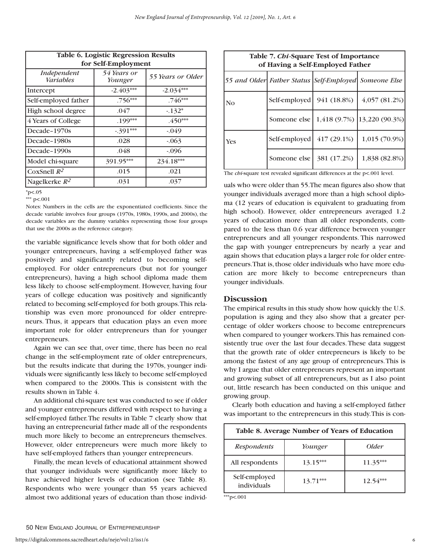| Table 6. Logistic Regression Results |                        |                   |  |
|--------------------------------------|------------------------|-------------------|--|
| for Self-Employment                  |                        |                   |  |
| Independent<br><b>Variables</b>      | 54 Years or<br>Younger | 55 Years or Older |  |
| Intercept                            | $-2.403***$            | $-2.034***$       |  |
| Self-employed father                 | $.756***$              | .746***           |  |
| High school degree                   | .047                   | $-132*$           |  |
| 4 Years of College                   | $.199***$              | $.450***$         |  |
| Decade-1970s                         | $-391***$              | $-0.049$          |  |
| Decade-1980s                         | .028                   | $-063$            |  |
| Decade-1990s                         | .048                   | $-.096$           |  |
| Model chi-square                     | 391.95***              | 234.18***         |  |
| CoxSnell $R^2$                       | .015                   | .021              |  |
| Nagelkerke $R^2$                     | .031                   | .037              |  |

<sup>\*</sup>p<.05 \*\*\* p<.001

Notes: Numbers in the cells are the exponentiated coefficients. Since the decade variable involves four groups (1970s, 1980s, 1990s, and 2000s), the decade variables are the dummy variables representing those four groups that use the 2000s as the reference category.

the variable significance levels show that for both older and younger entrepreneurs, having a self-employed father was positively and significantly related to becoming selfemployed. For older entrepreneurs (but not for younger entrepreneurs), having a high school diploma made them less likely to choose self-employment. However, having four years of college education was positively and significantly related to becoming self-employed for both groups.This relationship was even more pronounced for older entrepreneurs. Thus, it appears that education plays an even more important role for older entrepreneurs than for younger entrepreneurs.

Again we can see that, over time, there has been no real change in the self-employment rate of older entrepreneurs, but the results indicate that during the 1970s, younger individuals were significantly less likely to become self-employed when compared to the 2000s. This is consistent with the results shown in Table 4.

An additional chi-square test was conducted to see if older and younger entrepreneurs differed with respect to having a self-employed father.The results in Table 7 clearly show that having an entrepreneurial father made all of the respondents much more likely to become an entrepreneurs themselves. However, older entrepreneurs were much more likely to have self-employed fathers than younger entrepreneurs.

Finally, the mean levels of educational attainment showed that younger individuals were significantly more likely to have achieved higher levels of education (see Table 8). Respondents who were younger than 55 years achieved almost two additional years of education than those individ-

| Table 7. <i>Chi</i> -Square Test of Importance<br>of Having a Self-Employed Father |               |               |                                                       |
|------------------------------------------------------------------------------------|---------------|---------------|-------------------------------------------------------|
|                                                                                    |               |               | 55 and Older Father Status Self-Employed Someone Else |
| N <sub>0</sub>                                                                     | Self-employed | 941 (18.8%)   | 4,057(81.2%)                                          |
|                                                                                    | Someone else  |               | 1,418 (9.7%) [13,220 (90.3%)]                         |
| <b>Yes</b>                                                                         | Self-employed | $417(29.1\%)$ | 1,015 (70.9%)                                         |
|                                                                                    | Someone else  | 381 (17.2%)   | 1,838 (82.8%)                                         |

The *chi*-square test revealed significant differences at the p<.001 level.

uals who were older than 55.The mean figures also show that younger individuals averaged more than a high school diploma (12 years of education is equivalent to graduating from high school). However, older entrepreneurs averaged 1.2 years of education more than all older respondents, compared to the less than 0.6 year difference between younger entrepreneurs and all younger respondents. This narrowed the gap with younger entrepreneurs by nearly a year and again shows that education plays a larger role for older entrepreneurs. That is, those older individuals who have more education are more likely to become entrepreneurs than younger individuals.

#### **Discussion**

The empirical results in this study show how quickly the U.S. population is aging and they also show that a greater percentage of older workers choose to become entrepreneurs when compared to younger workers.This has remained consistently true over the last four decades.These data suggest that the growth rate of older entrepreneurs is likely to be among the fastest of any age group of entrepreneurs.This is why I argue that older entrepreneurs represent an important and growing subset of all entrepreneurs, but as I also point out, little research has been conducted on this unique and growing group.

Clearly both education and having a self-employed father was important to the entrepreneurs in this study.This is con-

| Table 8. Average Number of Years of Education |            |            |  |
|-----------------------------------------------|------------|------------|--|
| <b>Respondents</b>                            | Younger    | Older      |  |
| All respondents                               | $13.15***$ | $11.35***$ |  |
| Self-employed<br>individuals                  | $13.71***$ | 12.54***   |  |

\*\*\*p<.001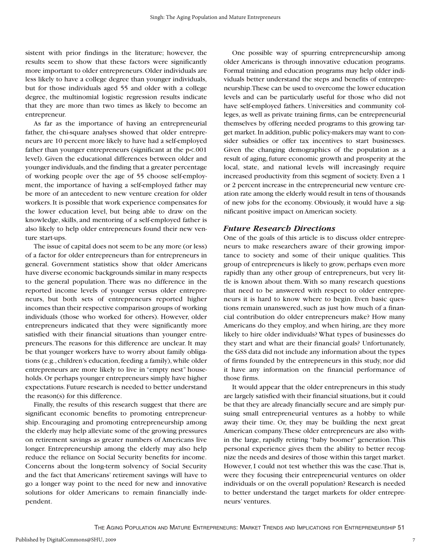sistent with prior findings in the literature; however, the results seem to show that these factors were significantly more important to older entrepreneurs. Older individuals are less likely to have a college degree than younger individuals, but for those individuals aged 55 and older with a college degree, the multinomial logistic regression results indicate that they are more than two times as likely to become an entrepreneur.

As far as the importance of having an entrepreneurial father, the chi-square analyses showed that older entrepreneurs are 10 percent more likely to have had a self-employed father than younger entrepreneurs (significant at the p<.001 level). Given the educational differences between older and younger individuals,and the finding that a greater percentage of working people over the age of 55 choose self-employment, the importance of having a self-employed father may be more of an antecedent to new venture creation for older workers. It is possible that work experience compensates for the lower education level, but being able to draw on the knowledge, skills, and mentoring of a self-employed father is also likely to help older entrepreneurs found their new venture start-ups.

The issue of capital does not seem to be any more (or less) of a factor for older entrepreneurs than for entrepreneurs in general. Government statistics show that older Americans have diverse economic backgrounds similar in many respects to the general population. There was no difference in the reported income levels of younger versus older entrepreneurs, but both sets of entrepreneurs reported higher incomes than their respective comparison groups of working individuals (those who worked for others). However, older entrepreneurs indicated that they were significantly more satisfied with their financial situations than younger entrepreneurs.The reasons for this difference are unclear. It may be that younger workers have to worry about family obligations (e.g., children's education, feeding a family), while older entrepreneurs are more likely to live in "empty nest" households. Or perhaps younger entrepreneurs simply have higher expectations. Future research is needed to better understand the reason(s) for this difference.

Finally, the results of this research suggest that there are significant economic benefits to promoting entrepreneurship. Encouraging and promoting entrepreneurship among the elderly may help alleviate some of the growing pressures on retirement savings as greater numbers of Americans live longer. Entrepreneurship among the elderly may also help reduce the reliance on Social Security benefits for income. Concerns about the long-term solvency of Social Security and the fact that Americans' retirement savings will have to go a longer way point to the need for new and innovative solutions for older Americans to remain financially independent.

One possible way of spurring entrepreneurship among older Americans is through innovative education programs. Formal training and education programs may help older individuals better understand the steps and benefits of entrepreneurship.These can be used to overcome the lower education levels and can be particularly useful for those who did not have self-employed fathers. Universities and community colleges, as well as private training firms, can be entrepreneurial themselves by offering needed programs to this growing target market.In addition,public policy-makers may want to consider subsidies or offer tax incentives to start businesses. Given the changing demographics of the population as a result of aging, future economic growth and prosperity at the local, state, and national levels will increasingly require increased productivity from this segment of society. Even a 1 or 2 percent increase in the entrepreneurial new venture creation rate among the elderly would result in tens of thousands of new jobs for the economy. Obviously, it would have a significant positive impact on American society.

#### *Future Research Directions*

One of the goals of this article is to discuss older entrepreneurs to make researchers aware of their growing importance to society and some of their unique qualities. This group of entrepreneurs is likely to grow, perhaps even more rapidly than any other group of entrepreneurs, but very little is known about them.With so many research questions that need to be answered with respect to older entrepreneurs it is hard to know where to begin. Even basic questions remain unanswered, such as just how much of a financial contribution do older entrepreneurs make? How many Americans do they employ, and when hiring, are they more likely to hire older individuals? What types of businesses do they start and what are their financial goals? Unfortunately, the GSS data did not include any information about the types of firms founded by the entrepreneurs in this study, nor did it have any information on the financial performance of those firms.

It would appear that the older entrepreneurs in this study are largely satisfied with their financial situations,but it could be that they are already financially secure and are simply pursuing small entrepreneurial ventures as a hobby to while away their time. Or, they may be building the next great American company.These older entrepreneurs are also within the large, rapidly retiring "baby boomer" generation. This personal experience gives them the ability to better recognize the needs and desires of those within this target market. However, I could not test whether this was the case.That is, were they focusing their entrepreneurial ventures on older individuals or on the overall population? Research is needed to better understand the target markets for older entrepreneurs' ventures.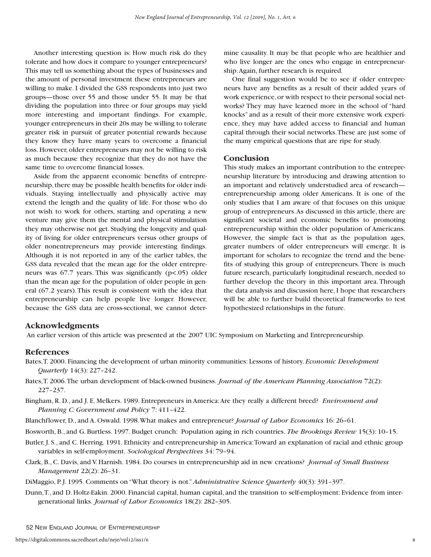Another interesting question is: How much risk do they tolerate and how does it compare to younger entrepreneurs? This may tell us something about the types of businesses and the amount of personal investment these entrepreneurs are willing to make. I divided the GSS respondents into just two groups—those over 55 and those under 55. It may be that dividing the population into three or four groups may yield more interesting and important findings. For example, younger entrepreneurs in their 20s may be willing to tolerate greater risk in pursuit of greater potential rewards because they know they have many years to overcome a financial loss. However, older entrepreneurs may not be willing to risk as much because they recognize that they do not have the same time to overcome financial losses.

Aside from the apparent economic benefits of entrepreneurship, there may be possible health benefits for older individuals. Staying intellectually and physically active may extend the length and the quality of life. For those who do not wish to work for others, starting and operating a new venture may give them the mental and physical stimulation they may otherwise not get. Studying the longevity and quality of living for older entrepreneurs versus other groups of older nonentrepreneurs may provide interesting findings. Although it is not reported in any of the earlier tables, the GSS data revealed that the mean age for the older entrepreneurs was 67.7 years. This was significantly (p<.05) older than the mean age for the population of older people in general (67.2 years).This result is consistent with the idea that entrepreneurship can help people live longer. However, because the GSS data are cross-sectional, we cannot deter-

mine causality. It may be that people who are healthier and who live longer are the ones who engage in entrepreneurship.Again, further research is required.

One final suggestion would be to see if older entrepreneurs have any benefits as a result of their added years of work experience,or with respect to their personal social networks? They may have learned more in the school of "hard knocks" and as a result of their more extensive work experience, they may have added access to financial and human capital through their social networks.These are just some of the many empirical questions that are ripe for study.

#### **Conclusion**

This study makes an important contribution to the entrepreneurship literature by introducing and drawing attention to an important and relatively understudied area of research entrepreneurship among older Americans. It is one of the only studies that I am aware of that focuses on this unique group of entrepreneurs.As discussed in this article, there are significant societal and economic benefits to promoting entrepreneurship within the older population of Americans. However, the simple fact is that as the population ages, greater numbers of older entrepreneurs will emerge. It is important for scholars to recognize the trend and the benefits of studying this group of entrepreneurs. There is much future research, particularly longitudinal research, needed to further develop the theory in this important area. Through the data analysis and discussion here, I hope that researchers will be able to further build theoretical frameworks to test hypothesized relationships in the future.

#### **Acknowledgments**

An earlier version of this article was presented at the 2007 UIC Symposium on Marketing and Entrepreneurship.

#### **References**

- Bates,T. 2000. Financing the development of urban minority communities: Lessons of history. *Economic Development Quarterly* 14(3): 227–242.
- Bates,T. 2006.The urban development of black-owned business. *Journal of the American Planning Association* 72(2): 227–237.
- Bingham, R. D., and J. E. Melkers. 1989. Entrepreneurs in America:Are they really a different breed? *Environment and Planning C: Government and Policy* 7: 411–422.
- Blanchflower, D., and A. Oswald. 1998.What makes and entrepreneur? *Journal of Labor Economics* 16: 26–61.
- Bosworth, B., and G. Burtless. 1997. Budget crunch: Population aging in rich countries. *The Brookings Review* 15(3): 10–15.
- Butler, J. S., and C. Herring. 1991. Ethnicity and entrepreneurship in America:Toward an explanation of racial and ethnic group variables in self-employment. *Sociological Perspectives* 34: 79–94.
- Clark, B., C. Davis, and V. Harnish. 1984. Do courses in entrepreneurship aid in new creations? *Journal of Small Business Management* 22(2): 26–31.
- DiMaggio, P. J. 1995. Comments on "What theory is not."*Administrative Science Quarterly* 40(3): 391–397.
- Dunn,T., and D. Holtz-Eakin. 2000. Financial capital, human capital, and the transition to self-employment: Evidence from intergenerational links. *Journal of Labor Economics* 18(2): 282–305.